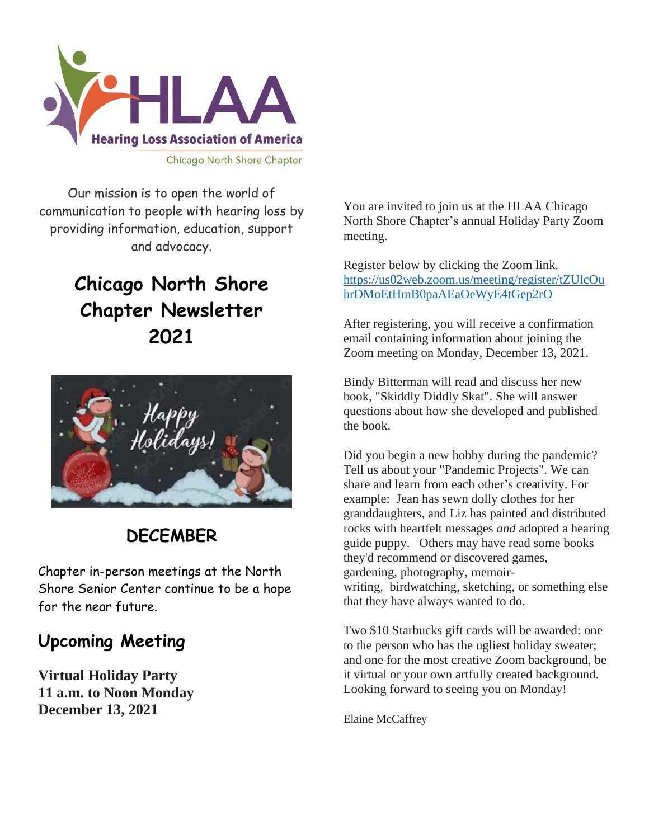

Our mission is to open the world of communication to people with hearing loss by providing information, education, support and advocacy.

## **Chicago North Shore Chapter Newsletter 2021**



## **DECEMBER**

Chapter in-person meetings at the North Shore Senior Center continue to be a hope for the near future.

## **Upcoming Meeting**

**Virtual Holiday Party 11 a.m. to Noon Monday December 13, 2021**

You are invited to join us at the HLAA Chicago North Shore Chapter's annual Holiday Party Zoom meeting.

Register below by clicking the Zoom link. [https://us02web.zoom.us/meeting/register/tZUlcOu](https://us02web.zoom.us/meeting/register/tZUlcOuhrDMoEtHmB0paAEaOeWyE4tGep2rO) [hrDMoEtHmB0paAEaOeWyE4tGep2rO](https://us02web.zoom.us/meeting/register/tZUlcOuhrDMoEtHmB0paAEaOeWyE4tGep2rO)

After registering, you will receive a confirmation email containing information about joining the Zoom meeting on Monday, December 13, 2021.

Bindy Bitterman will read and discuss her new book, "Skiddly Diddly Skat". She will answer questions about how she developed and published the book.

Did you begin a new hobby during the pandemic? Tell us about your "Pandemic Projects". We can share and learn from each other's creativity. For example: Jean has sewn dolly clothes for her granddaughters, and Liz has painted and distributed rocks with heartfelt messages *and* adopted a hearing guide puppy. Others may have read some books they'd recommend or discovered games, gardening, photography, memoirwriting, birdwatching, sketching, or something else that they have always wanted to do.

Two \$10 Starbucks gift cards will be awarded: one to the person who has the ugliest holiday sweater; and one for the most creative Zoom background, be it virtual or your own artfully created background. Looking forward to seeing you on Monday!

Elaine McCaffrey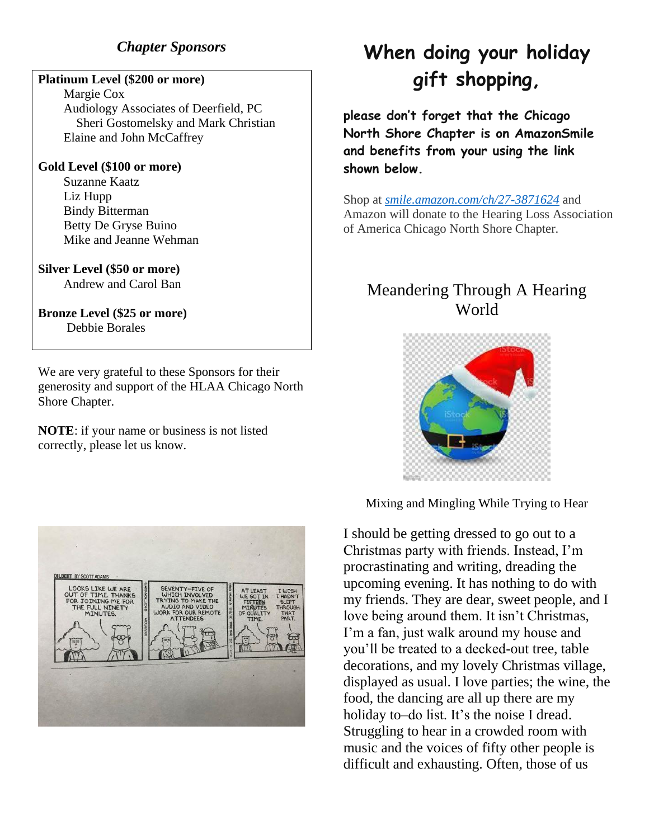### *Chapter Sponsors*

#### **Platinum Level (\$200 or more)**

 Margie Cox Audiology Associates of Deerfield, PC Sheri Gostomelsky and Mark Christian Elaine and John McCaffrey

#### **Gold Level (\$100 or more)**

 Suzanne Kaatz Liz Hupp Bindy Bitterman Betty De Gryse Buino Mike and Jeanne Wehman

## **Silver Level (\$50 or more)**

Andrew and Carol Ban

### **Bronze Level (\$25 or more)** Debbie Borales

We are very grateful to these Sponsors for their generosity and support of the HLAA Chicago North Shore Chapter.

**NOTE**: if your name or business is not listed correctly, please let us know.



# **When doing your holiday gift shopping,**

**please don't forget that the Chicago North Shore Chapter is on AmazonSmile and benefits from your using the link shown below.**

Shop at *[smile.amazon.com/ch/27-3871624](https://smile.amazon.com/gp/f.html?C=1ISN78MKH9BO5&K=335GHMLLUNWPP&M=urn:rtn:msg:201711261709243e998692f70f4f958c3b0d8c4fc0p0na&R=2QXN90TCYDI2Y&T=C&U=http%3A%2F%2Fsmile.amazon.com%2Fch%2F27-3871624&H=TGCVNDHNIX5ZIRJTWBNLXG15NMOA)* and Amazon will donate to the Hearing Loss Association of America Chicago North Shore Chapter.

## Meandering Through A Hearing World



Mixing and Mingling While Trying to Hear

I should be getting dressed to go out to a Christmas party with friends. Instead, I'm procrastinating and writing, dreading the upcoming evening. It has nothing to do with my friends. They are dear, sweet people, and I love being around them. It isn't Christmas, I'm a fan, just walk around my house and you'll be treated to a decked-out tree, table decorations, and my lovely Christmas village, displayed as usual. I love parties; the wine, the food, the dancing are all up there are my holiday to–do list. It's the noise I dread. Struggling to hear in a crowded room with music and the voices of fifty other people is difficult and exhausting. Often, those of us